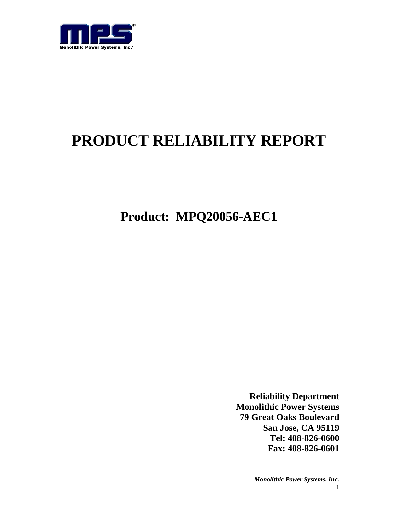

# **PRODUCT RELIABILITY REPORT**

**Product: MPQ20056-AEC1**

**Reliability Department Monolithic Power Systems 79 Great Oaks Boulevard San Jose, CA 95119 Tel: 408-826-0600 Fax: 408-826-0601**

> *Monolithic Power Systems, Inc.* 1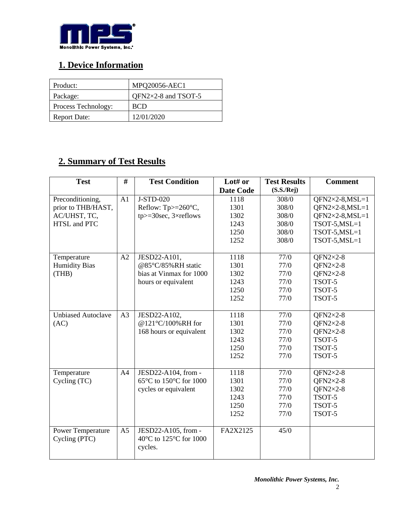

## **1. Device Information**

| Product:            | <b>MPQ20056-AEC1</b> |
|---------------------|----------------------|
| Package:            | QFN2×2-8 and TSOT-5  |
| Process Technology: | <b>BCD</b>           |
| <b>Report Date:</b> | 12/01/2020           |

## **2. Summary of Test Results**

| <b>Test</b>               | #              | <b>Test Condition</b>            | Lot# or          | <b>Test Results</b> | <b>Comment</b>         |
|---------------------------|----------------|----------------------------------|------------------|---------------------|------------------------|
|                           |                |                                  | <b>Date Code</b> | (S.S./Rej)          |                        |
| Preconditioning,          | A1             | J-STD-020                        | 1118             | 308/0               | $QFN2\times2-8, MSL=1$ |
| prior to THB/HAST,        |                | Reflow: $Tp>=260^{\circ}C$ ,     | 1301             | 308/0               | $QFN2\times2-8, MSL=1$ |
| AC/UHST, TC,              |                | $tp$ = 30sec, 3 $\times$ reflows | 1302             | 308/0               | $QFN2\times2-8,MSL=1$  |
| HTSL and PTC              |                |                                  | 1243             | 308/0               | $TSOT-5, MSL=1$        |
|                           |                |                                  | 1250             | 308/0               | $TSOT-5, MSL=1$        |
|                           |                |                                  | 1252             | 308/0               | $TSOT-5, MSL=1$        |
|                           |                |                                  |                  |                     |                        |
| Temperature               | A2             | JESD22-A101,                     | 1118             | 77/0                | QFN2 $\times$ 2-8      |
| <b>Humidity Bias</b>      |                | @85°C/85%RH static               | 1301             | 77/0                | QFN2 $\times$ 2-8      |
| (THB)                     |                | bias at Vinmax for 1000          | 1302             | 77/0                | QFN2 $\times$ 2-8      |
|                           |                | hours or equivalent              | 1243             | 77/0                | TSOT-5                 |
|                           |                |                                  | 1250             | 77/0                | TSOT-5                 |
|                           |                |                                  | 1252             | 77/0                | TSOT-5                 |
|                           |                |                                  |                  |                     |                        |
| <b>Unbiased Autoclave</b> | A <sub>3</sub> | JESD22-A102,                     | 1118             | 77/0                | QFN2 $\times$ 2-8      |
| (AC)                      |                | @121°C/100%RH for                | 1301             | 77/0                | QFN2 $\times$ 2-8      |
|                           |                | 168 hours or equivalent          | 1302             | 77/0                | QFN2 $\times$ 2-8      |
|                           |                |                                  | 1243             | 77/0                | TSOT-5                 |
|                           |                |                                  | 1250             | 77/0                | TSOT-5                 |
|                           |                |                                  | 1252             | 77/0                | TSOT-5                 |
|                           |                |                                  |                  |                     |                        |
| Temperature               | A <sub>4</sub> | JESD22-A104, from -              | 1118             | 77/0                | QFN2 $\times$ 2-8      |
| Cycling (TC)              |                | 65°C to 150°C for 1000           | 1301             | 77/0                | QFN2 $\times$ 2-8      |
|                           |                | cycles or equivalent             | 1302             | 77/0                | QFN2 $\times$ 2-8      |
|                           |                |                                  | 1243             | 77/0                | TSOT-5                 |
|                           |                |                                  | 1250             | 77/0                | TSOT-5                 |
|                           |                |                                  | 1252             | 77/0                | TSOT-5                 |
|                           |                |                                  |                  |                     |                        |
| <b>Power Temperature</b>  | A <sub>5</sub> | JESD22-A105, from -              | FA2X2125         | 45/0                |                        |
| Cycling (PTC)             |                | 40°C to 125°C for 1000           |                  |                     |                        |
|                           |                | cycles.                          |                  |                     |                        |
|                           |                |                                  |                  |                     |                        |

2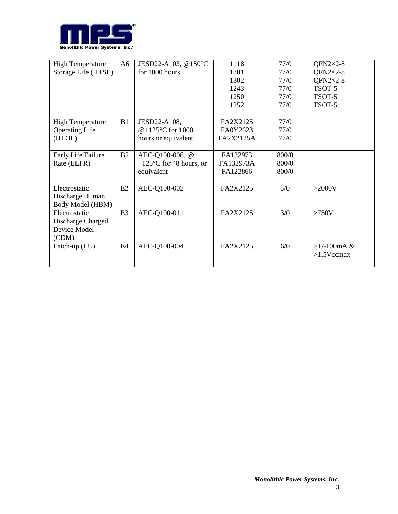

| <b>High Temperature</b> | A6             | JESD22-A103, @150°C               | 1118      | 77/0  | QFN2 $\times$ 2-8          |
|-------------------------|----------------|-----------------------------------|-----------|-------|----------------------------|
| Storage Life (HTSL)     |                | for 1000 hours                    | 1301      | 77/0  | $QFN2\times2-8$            |
|                         |                |                                   | 1302      | 77/0  | $OFN2\times2-8$            |
|                         |                |                                   | 1243      | 77/0  | TSOT-5                     |
|                         |                |                                   | 1250      | 77/0  | TSOT-5                     |
|                         |                |                                   | 1252      | 77/0  | TSOT-5                     |
|                         |                |                                   |           |       |                            |
| <b>High Temperature</b> | B1             | JESD22-A108,                      | FA2X2125  | 77/0  |                            |
| <b>Operating Life</b>   |                | @+125 $\degree$ C for 1000        | FA0Y2623  | 77/0  |                            |
| (HTOL)                  |                | hours or equivalent               | FA2X2125A | 77/0  |                            |
|                         |                |                                   |           |       |                            |
| Early Life Failure      | B2             | AEC-Q100-008, @                   | FA132973  | 800/0 |                            |
| Rate (ELFR)             |                | +125 $\degree$ C for 48 hours, or | FA132973A | 800/0 |                            |
|                         |                | equivalent                        | FA122866  | 800/0 |                            |
|                         |                |                                   |           |       |                            |
| Electrostatic           | E2             | AEC-Q100-002                      | FA2X2125  | 3/0   | $>2000V$                   |
| Discharge Human         |                |                                   |           |       |                            |
| Body Model (HBM)        |                |                                   |           |       |                            |
| Electrostatic           | E <sub>3</sub> | AEC-Q100-011                      | FA2X2125  | 3/0   | $>750V$                    |
| Discharge Charged       |                |                                   |           |       |                            |
| Device Model            |                |                                   |           |       |                            |
| (CDM)                   |                |                                   |           |       |                            |
| Latch-up $(LU)$         | E4             | AEC-Q100-004                      | FA2X2125  | 6/0   | $\rightarrow +/ -100$ mA & |
|                         |                |                                   |           |       | $>1.5$ Vccmax              |
|                         |                |                                   |           |       |                            |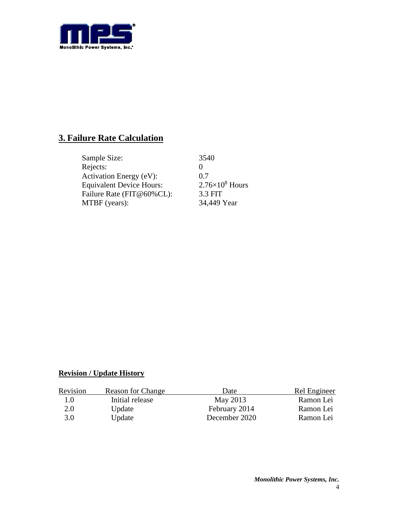

## **3. Failure Rate Calculation**

| Sample Size:                    | 3540                   |
|---------------------------------|------------------------|
| Rejects:                        |                        |
| Activation Energy (eV):         | 0.7                    |
| <b>Equivalent Device Hours:</b> | $2.76\times10^8$ Hours |
| Failure Rate (FIT@60%CL):       | 3.3 FIT                |
| MTBF (years):                   | 34,449 Year            |

#### **Revision / Update History**

| Revision | <b>Reason for Change</b> | Date          | Rel Engineer |
|----------|--------------------------|---------------|--------------|
| 1.0      | Initial release          | May 2013      | Ramon Lei    |
| 2.0      | Update                   | February 2014 | Ramon Lei    |
| 3.0      | Update                   | December 2020 | Ramon Lei    |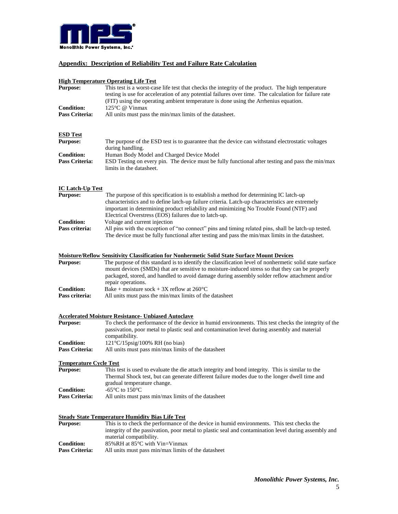

#### **Appendix: Description of Reliability Test and Failure Rate Calculation**

### **High Temperature Operating Life Test**

|                               | <u>High Temperature Operating Life Test</u>                                                             |
|-------------------------------|---------------------------------------------------------------------------------------------------------|
| <b>Purpose:</b>               | This test is a worst-case life test that checks the integrity of the product. The high temperature      |
|                               | testing is use for acceleration of any potential failures over time. The calculation for failure rate   |
|                               | (FIT) using the operating ambient temperature is done using the Arrhenius equation.                     |
| <b>Condition:</b>             | 125°C @ Vinmax                                                                                          |
| Pass Criteria:                | All units must pass the min/max limits of the datasheet.                                                |
|                               |                                                                                                         |
| <b>ESD Test</b>               |                                                                                                         |
| <b>Purpose:</b>               | The purpose of the ESD test is to guarantee that the device can withstand electrostatic voltages        |
|                               | during handling.                                                                                        |
| <b>Condition:</b>             | Human Body Model and Charged Device Model                                                               |
| Pass Criteria:                | ESD Testing on every pin. The device must be fully functional after testing and pass the min/max        |
|                               | limits in the datasheet.                                                                                |
| <b>IC Latch-Up Test</b>       |                                                                                                         |
| <b>Purpose:</b>               | The purpose of this specification is to establish a method for determining IC latch-up                  |
|                               | characteristics and to define latch-up failure criteria. Latch-up characteristics are extremely         |
|                               | important in determining product reliability and minimizing No Trouble Found (NTF) and                  |
|                               | Electrical Overstress (EOS) failures due to latch-up.                                                   |
| <b>Condition:</b>             | Voltage and current injection                                                                           |
| Pass criteria:                | All pins with the exception of "no connect" pins and timing related pins, shall be latch-up tested.     |
|                               |                                                                                                         |
|                               | The device must be fully functional after testing and pass the min/max limits in the datasheet.         |
|                               | <b>Moisture/Reflow Sensitivity Classification for Nonhermetic Solid State Surface Mount Devices</b>     |
| <b>Purpose:</b>               | The purpose of this standard is to identify the classification level of nonhermetic solid state surface |
|                               | mount devices (SMDs) that are sensitive to moisture-induced stress so that they can be properly         |
|                               | packaged, stored, and handled to avoid damage during assembly solder reflow attachment and/or           |
|                               | repair operations.                                                                                      |
| <b>Condition:</b>             | Bake + moisture sock + 3X reflow at $260^{\circ}$ C                                                     |
| Pass criteria:                | All units must pass the min/max limits of the datasheet                                                 |
|                               | <b>Accelerated Moisture Resistance- Unbiased Autoclave</b>                                              |
| <b>Purpose:</b>               | To check the performance of the device in humid environments. This test checks the integrity of the     |
|                               | passivation, poor metal to plastic seal and contamination level during assembly and material            |
|                               |                                                                                                         |
|                               | compatibility.                                                                                          |
| <b>Condition:</b>             | $121^{\circ}C/15$ psig/100% RH (no bias)                                                                |
| Pass Criteria:                | All units must pass min/max limits of the datasheet                                                     |
| <b>Temperature Cycle Test</b> |                                                                                                         |
| <b>Purpose:</b>               | This test is used to evaluate the die attach integrity and bond integrity. This is similar to the       |
|                               | Thermal Shock test, but can generate different failure modes due to the longer dwell time and           |
|                               | gradual temperature change.                                                                             |
| <b>Condition:</b>             | -65 $\mathrm{^{\circ}C}$ to 150 $\mathrm{^{\circ}C}$                                                    |
| Pass Criteria:                | All units must pass min/max limits of the datasheet                                                     |
|                               |                                                                                                         |
|                               | <b>Steady State Temperature Humidity Bias Life Test</b>                                                 |
| <b>Purpose:</b>               | This is to check the performance of the device in humid environments. This test checks the              |
|                               | integrity of the passivation, poor metal to plastic seal and contamination level during assembly and    |
|                               | material compatibility.                                                                                 |
| <b>Condition:</b>             | 85%RH at 85°C with Vin=Vinmax                                                                           |

**Pass Criteria:** All units must pass min/max limits of the datasheet